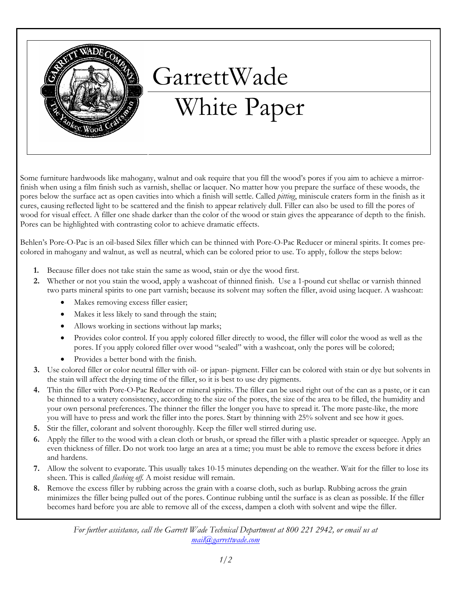

## GarrettWade

## White Paper

Some furniture hardwoods like mahogany, walnut and oak require that you fill the wood's pores if you aim to achieve a mirrorfinish when using a film finish such as varnish, shellac or lacquer. No matter how you prepare the surface of these woods, the pores below the surface act as open cavities into which a finish will settle. Called *pitting*, miniscule craters form in the finish as it cures, causing reflected light to be scattered and the finish to appear relatively dull. Filler can also be used to fill the pores of wood for visual effect. A filler one shade darker than the color of the wood or stain gives the appearance of depth to the finish. Pores can be highlighted with contrasting color to achieve dramatic effects.

Behlen's Pore-O-Pac is an oil-based Silex filler which can be thinned with Pore-O-Pac Reducer or mineral spirits. It comes precolored in mahogany and walnut, as well as neutral, which can be colored prior to use. To apply, follow the steps below:

- 1. Because filler does not take stain the same as wood, stain or dye the wood first.
- 2. Whether or not you stain the wood, apply a washcoat of thinned finish. Use a 1-pound cut shellac or varnish thinned two parts mineral spirits to one part varnish; because its solvent may soften the filler, avoid using lacquer. A washcoat:
	- Makes removing excess filler easier;
	- Makes it less likely to sand through the stain;
	- Allows working in sections without lap marks;
	- Provides color control. If you apply colored filler directly to wood, the filler will color the wood as well as the pores. If you apply colored filler over wood "sealed" with a washcoat, only the pores will be colored;
	- Provides a better bond with the finish.
- 3. Use colored filler or color neutral filler with oil- or japan- pigment. Filler can be colored with stain or dye but solvents in the stain will affect the drying time of the filler, so it is best to use dry pigments.
- 4. Thin the filler with Pore-O-Pac Reducer or mineral spirits. The filler can be used right out of the can as a paste, or it can be thinned to a watery consistency, according to the size of the pores, the size of the area to be filled, the humidity and your own personal preferences. The thinner the filler the longer you have to spread it. The more paste-like, the more you will have to press and work the filler into the pores. Start by thinning with 25% solvent and see how it goes.
- 5. Stir the filler, colorant and solvent thoroughly. Keep the filler well stirred during use.
- 6. Apply the filler to the wood with a clean cloth or brush, or spread the filler with a plastic spreader or squeegee. Apply an even thickness of filler. Do not work too large an area at a time; you must be able to remove the excess before it dries and hardens.
- 7. Allow the solvent to evaporate. This usually takes 10-15 minutes depending on the weather. Wait for the filler to lose its sheen. This is called flashing off. A moist residue will remain.
- 8. Remove the excess filler by rubbing across the grain with a coarse cloth, such as burlap. Rubbing across the grain minimizes the filler being pulled out of the pores. Continue rubbing until the surface is as clean as possible. If the filler becomes hard before you are able to remove all of the excess, dampen a cloth with solvent and wipe the filler.

For further assistance, call the Garrett Wade Technical Department at 800 221 2942, or email us at mail@garrettwade.com